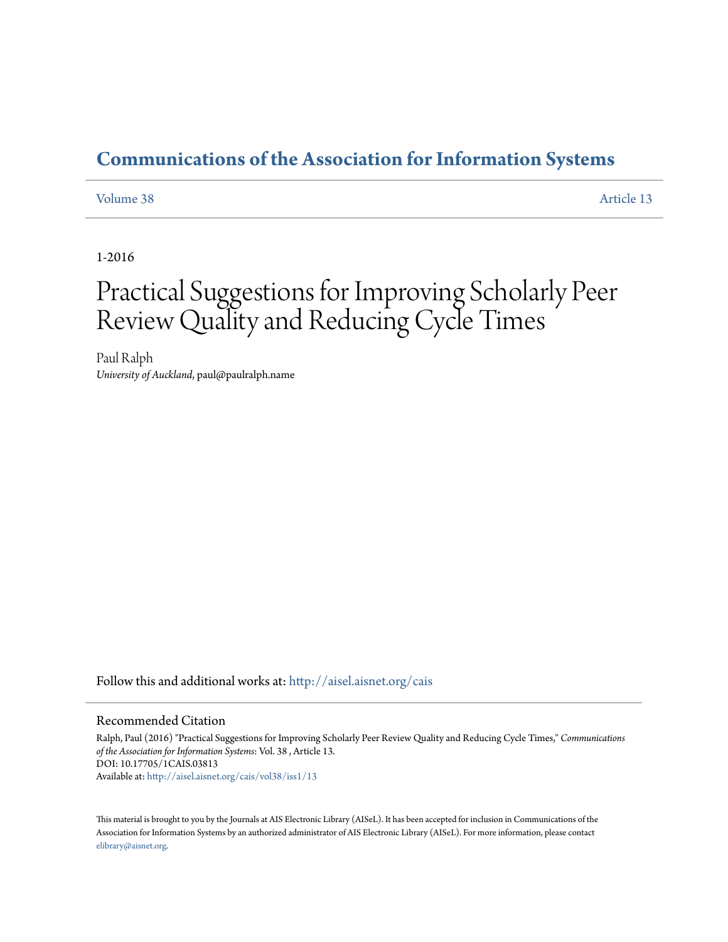# **[Communications of the Association for Information Systems](http://aisel.aisnet.org/cais?utm_source=aisel.aisnet.org%2Fcais%2Fvol38%2Fiss1%2F13&utm_medium=PDF&utm_campaign=PDFCoverPages)**

#### [Volume 38](http://aisel.aisnet.org/cais/vol38?utm_source=aisel.aisnet.org%2Fcais%2Fvol38%2Fiss1%2F13&utm_medium=PDF&utm_campaign=PDFCoverPages) [Article 13](http://aisel.aisnet.org/cais/vol38/iss1/13?utm_source=aisel.aisnet.org%2Fcais%2Fvol38%2Fiss1%2F13&utm_medium=PDF&utm_campaign=PDFCoverPages)

1-2016

# Practical Suggestions for Improving Scholarly Peer Review Quality and Reducing Cycle Times

Paul Ralph *University of Auckland*, paul@paulralph.name

Follow this and additional works at: [http://aisel.aisnet.org/cais](http://aisel.aisnet.org/cais?utm_source=aisel.aisnet.org%2Fcais%2Fvol38%2Fiss1%2F13&utm_medium=PDF&utm_campaign=PDFCoverPages)

#### Recommended Citation

Ralph, Paul (2016) "Practical Suggestions for Improving Scholarly Peer Review Quality and Reducing Cycle Times," *Communications of the Association for Information Systems*: Vol. 38 , Article 13. DOI: 10.17705/1CAIS.03813 Available at: [http://aisel.aisnet.org/cais/vol38/iss1/13](http://aisel.aisnet.org/cais/vol38/iss1/13?utm_source=aisel.aisnet.org%2Fcais%2Fvol38%2Fiss1%2F13&utm_medium=PDF&utm_campaign=PDFCoverPages)

This material is brought to you by the Journals at AIS Electronic Library (AISeL). It has been accepted for inclusion in Communications of the Association for Information Systems by an authorized administrator of AIS Electronic Library (AISeL). For more information, please contact [elibrary@aisnet.org.](mailto:elibrary@aisnet.org%3E)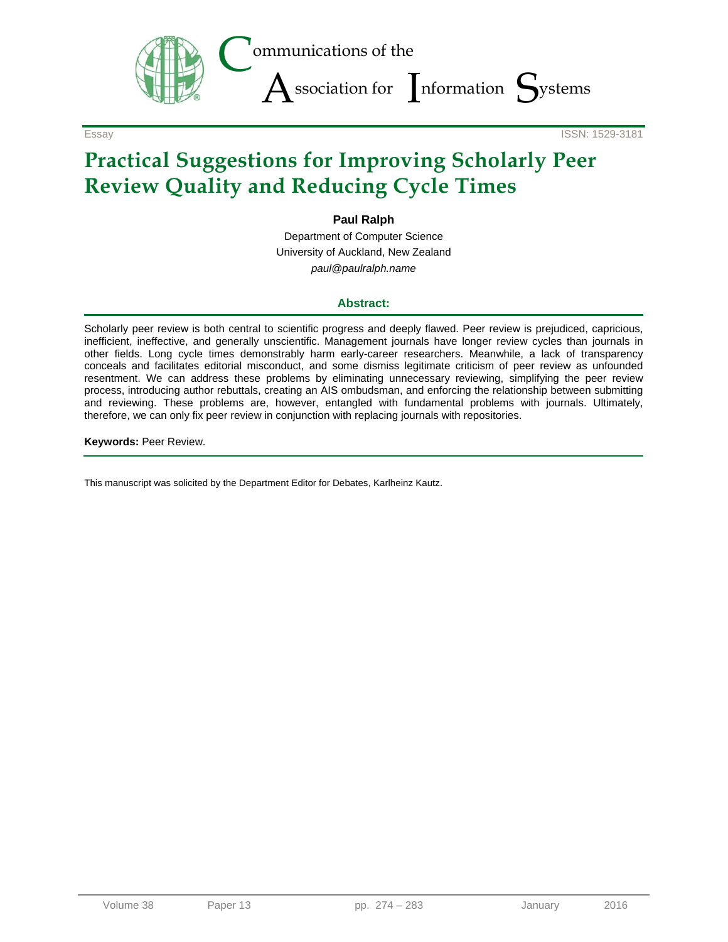

Essay ISSN: 1529-3181

# **Practical Suggestions for Improving Scholarly Peer Review Quality and Reducing Cycle Times**

#### **Paul Ralph**

Department of Computer Science University of Auckland, New Zealand *paul@paulralph.name*

#### **Abstract:**

Scholarly peer review is both central to scientific progress and deeply flawed. Peer review is prejudiced, capricious, inefficient, ineffective, and generally unscientific. Management journals have longer review cycles than journals in other fields. Long cycle times demonstrably harm early-career researchers. Meanwhile, a lack of transparency conceals and facilitates editorial misconduct, and some dismiss legitimate criticism of peer review as unfounded resentment. We can address these problems by eliminating unnecessary reviewing, simplifying the peer review process, introducing author rebuttals, creating an AIS ombudsman, and enforcing the relationship between submitting and reviewing. These problems are, however, entangled with fundamental problems with journals. Ultimately, therefore, we can only fix peer review in conjunction with replacing journals with repositories.

#### **Keywords:** Peer Review.

This manuscript was solicited by the Department Editor for Debates, Karlheinz Kautz.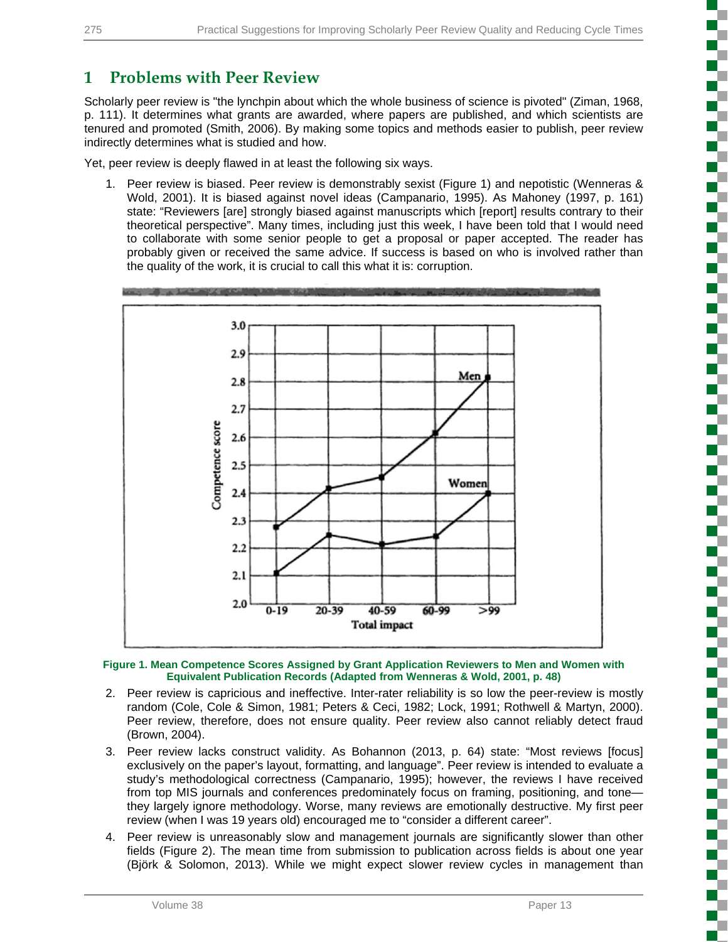# **1 Problems with Peer Review**

Scholarly peer review is "the lynchpin about which the whole business of science is pivoted" (Ziman, 1968, p. 111). It determines what grants are awarded, where papers are published, and which scientists are tenured and promoted (Smith, 2006). By making some topics and methods easier to publish, peer review indirectly determines what is studied and how.

Yet, peer review is deeply flawed in at least the following six ways.

1. Peer review is biased. Peer review is demonstrably sexist (Figure 1) and nepotistic (Wenneras & Wold, 2001). It is biased against novel ideas (Campanario, 1995). As Mahoney (1997, p. 161) state: "Reviewers [are] strongly biased against manuscripts which [report] results contrary to their theoretical perspective". Many times, including just this week, I have been told that I would need to collaborate with some senior people to get a proposal or paper accepted. The reader has probably given or received the same advice. If success is based on who is involved rather than the quality of the work, it is crucial to call this what it is: corruption.



#### **Figure 1. Mean Competence Scores Assigned by Grant Application Reviewers to Men and Women with Equivalent Publication Records (Adapted from Wenneras & Wold, 2001, p. 48)**

- 2. Peer review is capricious and ineffective. Inter-rater reliability is so low the peer-review is mostly random (Cole, Cole & Simon, 1981; Peters & Ceci, 1982; Lock, 1991; Rothwell & Martyn, 2000). Peer review, therefore, does not ensure quality. Peer review also cannot reliably detect fraud (Brown, 2004).
- 3. Peer review lacks construct validity. As Bohannon (2013, p. 64) state: "Most reviews [focus] exclusively on the paper's layout, formatting, and language". Peer review is intended to evaluate a study's methodological correctness (Campanario, 1995); however, the reviews I have received from top MIS journals and conferences predominately focus on framing, positioning, and tone they largely ignore methodology. Worse, many reviews are emotionally destructive. My first peer review (when I was 19 years old) encouraged me to "consider a different career".
- 4. Peer review is unreasonably slow and management journals are significantly slower than other fields (Figure 2). The mean time from submission to publication across fields is about one year (Björk & Solomon, 2013). While we might expect slower review cycles in management than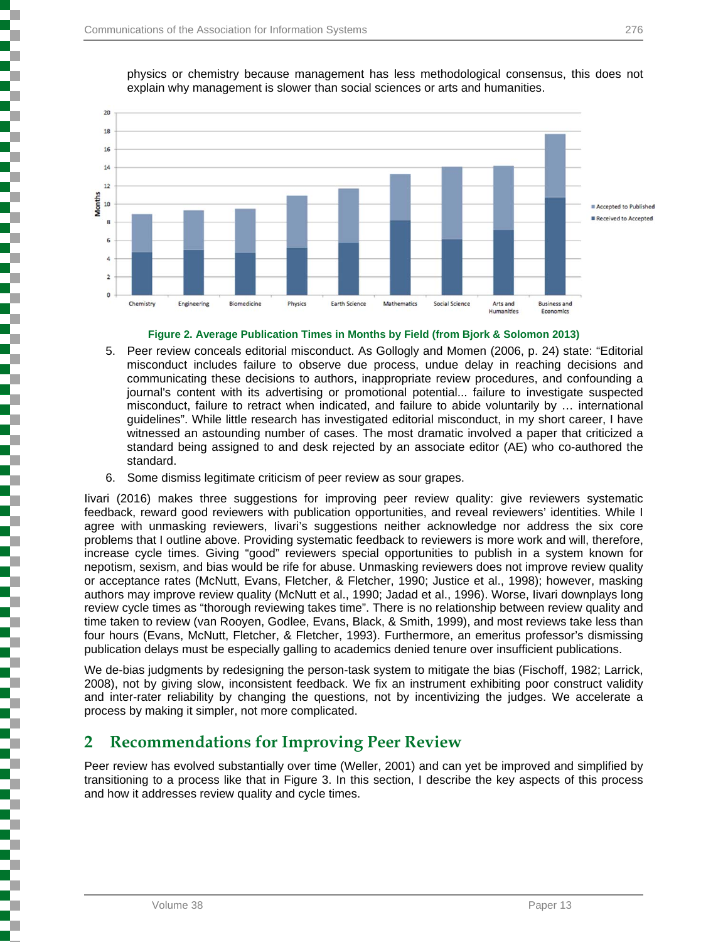

physics or chemistry because management has less methodological consensus, this does not explain why management is slower than social sciences or arts and humanities.

#### **Figure 2. Average Publication Times in Months by Field (from Bjork & Solomon 2013)**

- 5. Peer review conceals editorial misconduct. As Gollogly and Momen (2006, p. 24) state: "Editorial misconduct includes failure to observe due process, undue delay in reaching decisions and communicating these decisions to authors, inappropriate review procedures, and confounding a journal's content with its advertising or promotional potential... failure to investigate suspected misconduct, failure to retract when indicated, and failure to abide voluntarily by … international guidelines". While little research has investigated editorial misconduct, in my short career, I have witnessed an astounding number of cases. The most dramatic involved a paper that criticized a standard being assigned to and desk rejected by an associate editor (AE) who co-authored the standard.
- 6. Some dismiss legitimate criticism of peer review as sour grapes.

Iivari (2016) makes three suggestions for improving peer review quality: give reviewers systematic feedback, reward good reviewers with publication opportunities, and reveal reviewers' identities. While I agree with unmasking reviewers, Iivari's suggestions neither acknowledge nor address the six core problems that I outline above. Providing systematic feedback to reviewers is more work and will, therefore, increase cycle times. Giving "good" reviewers special opportunities to publish in a system known for nepotism, sexism, and bias would be rife for abuse. Unmasking reviewers does not improve review quality or acceptance rates (McNutt, Evans, Fletcher, & Fletcher, 1990; Justice et al., 1998); however, masking authors may improve review quality (McNutt et al., 1990; Jadad et al., 1996). Worse, Iivari downplays long review cycle times as "thorough reviewing takes time". There is no relationship between review quality and time taken to review (van Rooyen, Godlee, Evans, Black, & Smith, 1999), and most reviews take less than four hours (Evans, McNutt, Fletcher, & Fletcher, 1993). Furthermore, an emeritus professor's dismissing publication delays must be especially galling to academics denied tenure over insufficient publications.

We de-bias judgments by redesigning the person-task system to mitigate the bias (Fischoff, 1982; Larrick, 2008), not by giving slow, inconsistent feedback. We fix an instrument exhibiting poor construct validity and inter-rater reliability by changing the questions, not by incentivizing the judges. We accelerate a process by making it simpler, not more complicated.

### **2 Recommendations for Improving Peer Review**

Peer review has evolved substantially over time (Weller, 2001) and can yet be improved and simplified by transitioning to a process like that in Figure 3. In this section, I describe the key aspects of this process and how it addresses review quality and cycle times.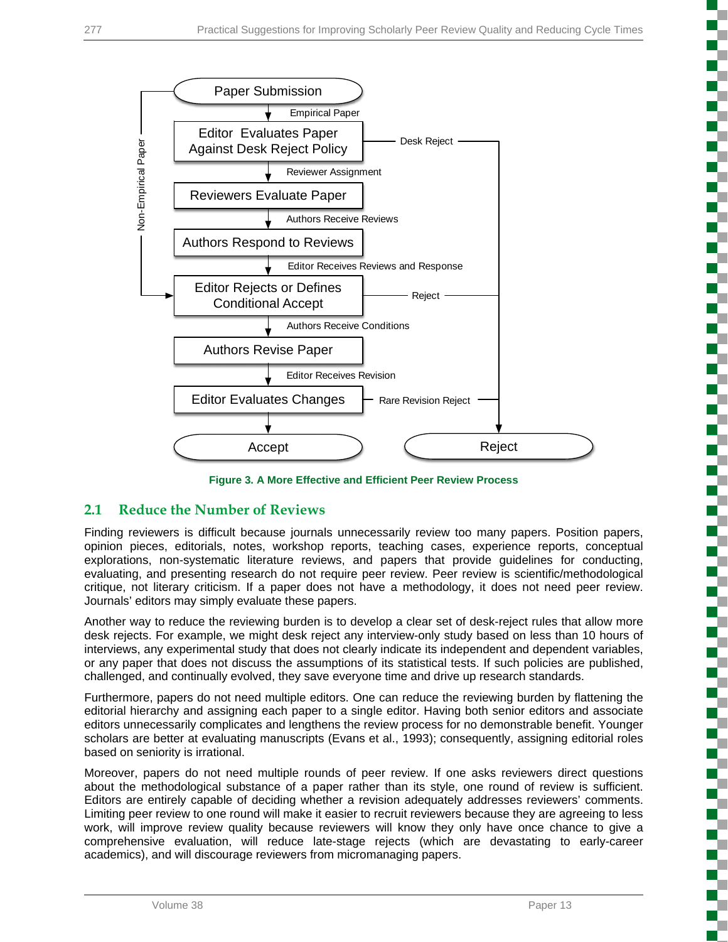

**Figure 3. A More Effective and Efficient Peer Review Process** 

### **2.1 Reduce the Number of Reviews**

Finding reviewers is difficult because journals unnecessarily review too many papers. Position papers, opinion pieces, editorials, notes, workshop reports, teaching cases, experience reports, conceptual explorations, non-systematic literature reviews, and papers that provide guidelines for conducting, evaluating, and presenting research do not require peer review. Peer review is scientific/methodological critique, not literary criticism. If a paper does not have a methodology, it does not need peer review. Journals' editors may simply evaluate these papers.

Another way to reduce the reviewing burden is to develop a clear set of desk-reject rules that allow more desk rejects. For example, we might desk reject any interview-only study based on less than 10 hours of interviews, any experimental study that does not clearly indicate its independent and dependent variables, or any paper that does not discuss the assumptions of its statistical tests. If such policies are published, challenged, and continually evolved, they save everyone time and drive up research standards.

Furthermore, papers do not need multiple editors. One can reduce the reviewing burden by flattening the editorial hierarchy and assigning each paper to a single editor. Having both senior editors and associate editors unnecessarily complicates and lengthens the review process for no demonstrable benefit. Younger scholars are better at evaluating manuscripts (Evans et al., 1993); consequently, assigning editorial roles based on seniority is irrational.

Moreover, papers do not need multiple rounds of peer review. If one asks reviewers direct questions about the methodological substance of a paper rather than its style, one round of review is sufficient. Editors are entirely capable of deciding whether a revision adequately addresses reviewers' comments. Limiting peer review to one round will make it easier to recruit reviewers because they are agreeing to less work, will improve review quality because reviewers will know they only have once chance to give a comprehensive evaluation, will reduce late-stage rejects (which are devastating to early-career academics), and will discourage reviewers from micromanaging papers.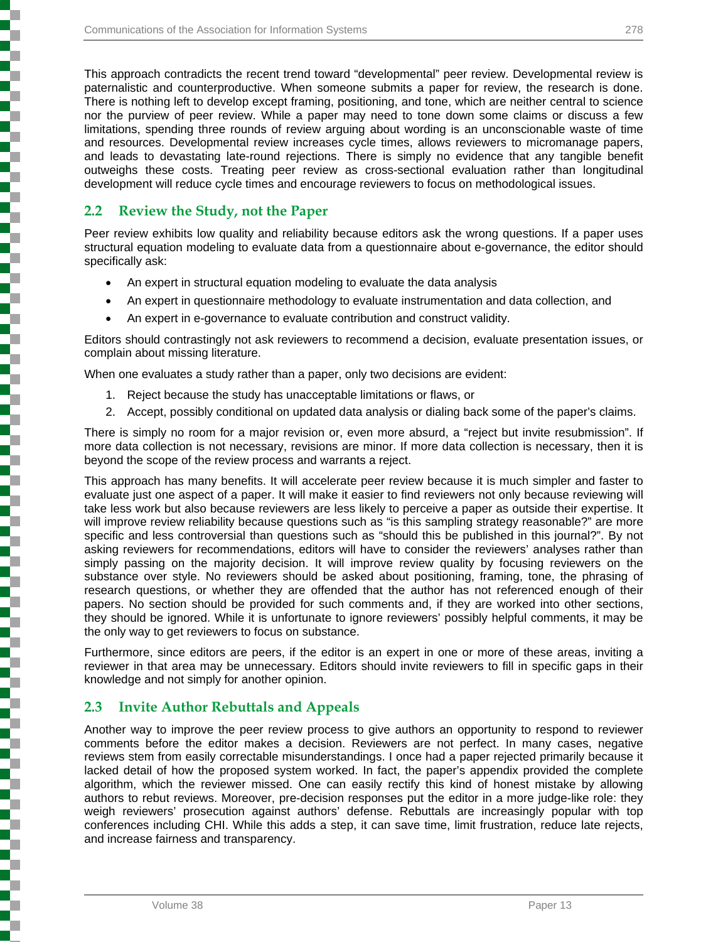This approach contradicts the recent trend toward "developmental" peer review. Developmental review is paternalistic and counterproductive. When someone submits a paper for review, the research is done. There is nothing left to develop except framing, positioning, and tone, which are neither central to science nor the purview of peer review. While a paper may need to tone down some claims or discuss a few limitations, spending three rounds of review arguing about wording is an unconscionable waste of time and resources. Developmental review increases cycle times, allows reviewers to micromanage papers, and leads to devastating late-round rejections. There is simply no evidence that any tangible benefit outweighs these costs. Treating peer review as cross-sectional evaluation rather than longitudinal development will reduce cycle times and encourage reviewers to focus on methodological issues.

#### **2.2 Review the Study, not the Paper**

Peer review exhibits low quality and reliability because editors ask the wrong questions. If a paper uses structural equation modeling to evaluate data from a questionnaire about e-governance, the editor should specifically ask:

- An expert in structural equation modeling to evaluate the data analysis
- An expert in questionnaire methodology to evaluate instrumentation and data collection, and
- An expert in e-governance to evaluate contribution and construct validity.

Editors should contrastingly not ask reviewers to recommend a decision, evaluate presentation issues, or complain about missing literature.

When one evaluates a study rather than a paper, only two decisions are evident:

- 1. Reject because the study has unacceptable limitations or flaws, or
- 2. Accept, possibly conditional on updated data analysis or dialing back some of the paper's claims.

There is simply no room for a major revision or, even more absurd, a "reject but invite resubmission". If more data collection is not necessary, revisions are minor. If more data collection is necessary, then it is beyond the scope of the review process and warrants a reject.

This approach has many benefits. It will accelerate peer review because it is much simpler and faster to evaluate just one aspect of a paper. It will make it easier to find reviewers not only because reviewing will take less work but also because reviewers are less likely to perceive a paper as outside their expertise. It will improve review reliability because questions such as "is this sampling strategy reasonable?" are more specific and less controversial than questions such as "should this be published in this journal?". By not asking reviewers for recommendations, editors will have to consider the reviewers' analyses rather than simply passing on the majority decision. It will improve review quality by focusing reviewers on the substance over style. No reviewers should be asked about positioning, framing, tone, the phrasing of research questions, or whether they are offended that the author has not referenced enough of their papers. No section should be provided for such comments and, if they are worked into other sections, they should be ignored. While it is unfortunate to ignore reviewers' possibly helpful comments, it may be the only way to get reviewers to focus on substance.

Furthermore, since editors are peers, if the editor is an expert in one or more of these areas, inviting a reviewer in that area may be unnecessary. Editors should invite reviewers to fill in specific gaps in their knowledge and not simply for another opinion.

### **2.3 Invite Author Rebuttals and Appeals**

Another way to improve the peer review process to give authors an opportunity to respond to reviewer comments before the editor makes a decision. Reviewers are not perfect. In many cases, negative reviews stem from easily correctable misunderstandings. I once had a paper rejected primarily because it lacked detail of how the proposed system worked. In fact, the paper's appendix provided the complete algorithm, which the reviewer missed. One can easily rectify this kind of honest mistake by allowing authors to rebut reviews. Moreover, pre-decision responses put the editor in a more judge-like role: they weigh reviewers' prosecution against authors' defense. Rebuttals are increasingly popular with top conferences including CHI. While this adds a step, it can save time, limit frustration, reduce late rejects, and increase fairness and transparency.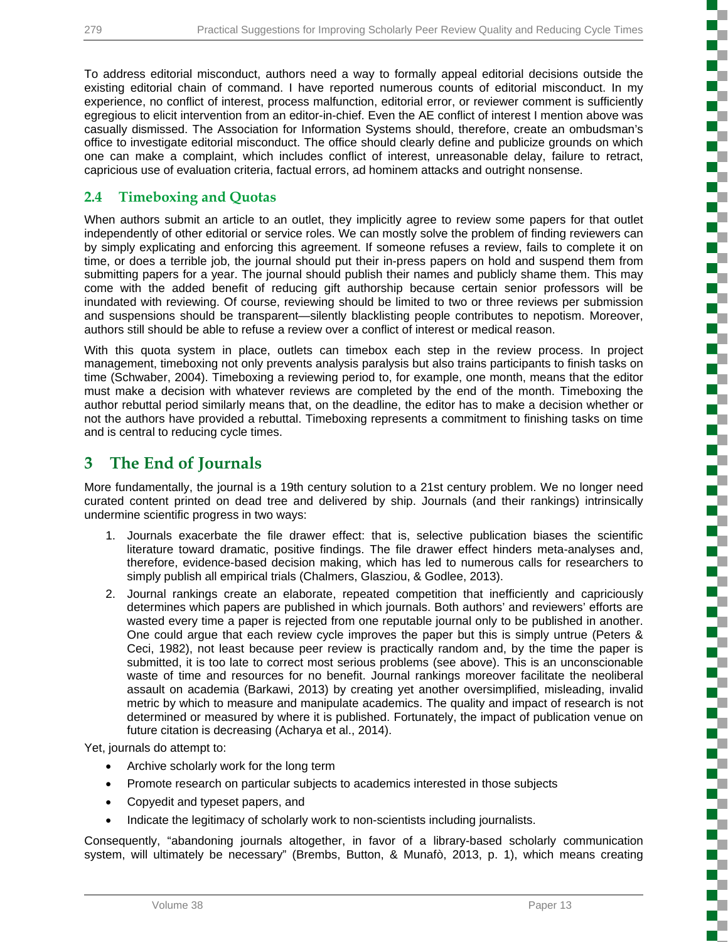į

i<br>Series

i

i<br>Santa Sa

c

į

₹

i

To address editorial misconduct, authors need a way to formally appeal editorial decisions outside the existing editorial chain of command. I have reported numerous counts of editorial misconduct. In my experience, no conflict of interest, process malfunction, editorial error, or reviewer comment is sufficiently egregious to elicit intervention from an editor-in-chief. Even the AE conflict of interest I mention above was casually dismissed. The Association for Information Systems should, therefore, create an ombudsman's office to investigate editorial misconduct. The office should clearly define and publicize grounds on which one can make a complaint, which includes conflict of interest, unreasonable delay, failure to retract, capricious use of evaluation criteria, factual errors, ad hominem attacks and outright nonsense.

### **2.4 Timeboxing and Quotas**

When authors submit an article to an outlet, they implicitly agree to review some papers for that outlet independently of other editorial or service roles. We can mostly solve the problem of finding reviewers can by simply explicating and enforcing this agreement. If someone refuses a review, fails to complete it on time, or does a terrible job, the journal should put their in-press papers on hold and suspend them from submitting papers for a year. The journal should publish their names and publicly shame them. This may come with the added benefit of reducing gift authorship because certain senior professors will be inundated with reviewing. Of course, reviewing should be limited to two or three reviews per submission and suspensions should be transparent—silently blacklisting people contributes to nepotism. Moreover, authors still should be able to refuse a review over a conflict of interest or medical reason.

With this quota system in place, outlets can timebox each step in the review process. In project management, timeboxing not only prevents analysis paralysis but also trains participants to finish tasks on time (Schwaber, 2004). Timeboxing a reviewing period to, for example, one month, means that the editor must make a decision with whatever reviews are completed by the end of the month. Timeboxing the author rebuttal period similarly means that, on the deadline, the editor has to make a decision whether or not the authors have provided a rebuttal. Timeboxing represents a commitment to finishing tasks on time and is central to reducing cycle times.

## **3 The End of Journals**

More fundamentally, the journal is a 19th century solution to a 21st century problem. We no longer need curated content printed on dead tree and delivered by ship. Journals (and their rankings) intrinsically undermine scientific progress in two ways:

- 1. Journals exacerbate the file drawer effect: that is, selective publication biases the scientific literature toward dramatic, positive findings. The file drawer effect hinders meta-analyses and, therefore, evidence-based decision making, which has led to numerous calls for researchers to simply publish all empirical trials (Chalmers, Glasziou, & Godlee, 2013).
- 2. Journal rankings create an elaborate, repeated competition that inefficiently and capriciously determines which papers are published in which journals. Both authors' and reviewers' efforts are wasted every time a paper is rejected from one reputable journal only to be published in another. One could argue that each review cycle improves the paper but this is simply untrue (Peters & Ceci, 1982), not least because peer review is practically random and, by the time the paper is submitted, it is too late to correct most serious problems (see above). This is an unconscionable waste of time and resources for no benefit. Journal rankings moreover facilitate the neoliberal assault on academia (Barkawi, 2013) by creating yet another oversimplified, misleading, invalid metric by which to measure and manipulate academics. The quality and impact of research is not determined or measured by where it is published. Fortunately, the impact of publication venue on future citation is decreasing (Acharya et al., 2014).

Yet, journals do attempt to:

- Archive scholarly work for the long term
- Promote research on particular subjects to academics interested in those subjects
- Copyedit and typeset papers, and
- Indicate the legitimacy of scholarly work to non-scientists including journalists.

Consequently, "abandoning journals altogether, in favor of a library-based scholarly communication system, will ultimately be necessary" (Brembs, Button, & Munafò, 2013, p. 1), which means creating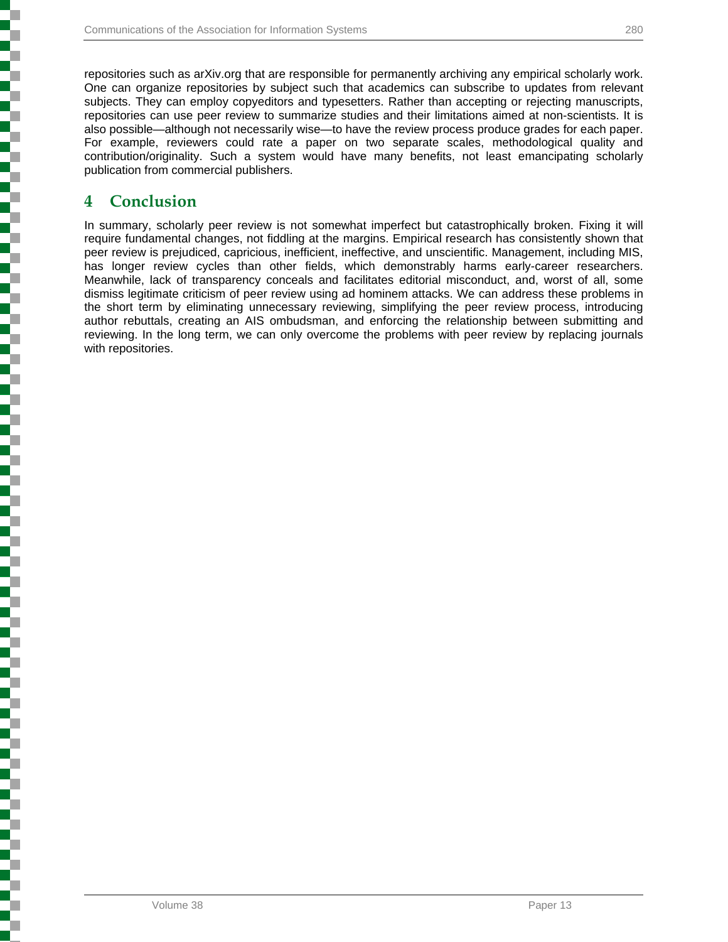repositories such as arXiv.org that are responsible for permanently archiving any empirical scholarly work. One can organize repositories by subject such that academics can subscribe to updates from relevant subjects. They can employ copyeditors and typesetters. Rather than accepting or rejecting manuscripts, repositories can use peer review to summarize studies and their limitations aimed at non-scientists. It is also possible—although not necessarily wise—to have the review process produce grades for each paper. For example, reviewers could rate a paper on two separate scales, methodological quality and contribution/originality. Such a system would have many benefits, not least emancipating scholarly publication from commercial publishers.

### **4 Conclusion**

į

In summary, scholarly peer review is not somewhat imperfect but catastrophically broken. Fixing it will require fundamental changes, not fiddling at the margins. Empirical research has consistently shown that peer review is prejudiced, capricious, inefficient, ineffective, and unscientific. Management, including MIS, has longer review cycles than other fields, which demonstrably harms early-career researchers. Meanwhile, lack of transparency conceals and facilitates editorial misconduct, and, worst of all, some dismiss legitimate criticism of peer review using ad hominem attacks. We can address these problems in the short term by eliminating unnecessary reviewing, simplifying the peer review process, introducing author rebuttals, creating an AIS ombudsman, and enforcing the relationship between submitting and reviewing. In the long term, we can only overcome the problems with peer review by replacing journals with repositories.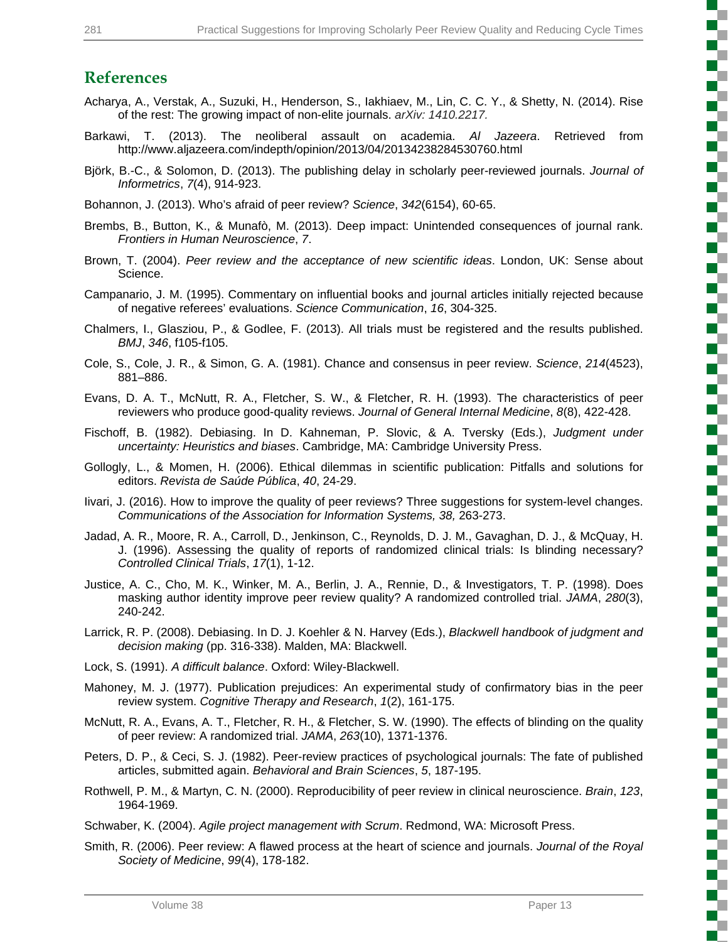## **References**

- Acharya, A., Verstak, A., Suzuki, H., Henderson, S., Iakhiaev, M., Lin, C. C. Y., & Shetty, N. (2014). Rise of the rest: The growing impact of non-elite journals. *arXiv: 1410.2217.*
- Barkawi, T. (2013). The neoliberal assault on academia. *Al Jazeera*. Retrieved from http://www.aljazeera.com/indepth/opinion/2013/04/20134238284530760.html
- Björk, B.-C., & Solomon, D. (2013). The publishing delay in scholarly peer-reviewed journals. *Journal of Informetrics*, *7*(4), 914-923.

Bohannon, J. (2013). Who's afraid of peer review? *Science*, *342*(6154), 60-65.

- Brembs, B., Button, K., & Munafò, M. (2013). Deep impact: Unintended consequences of journal rank. *Frontiers in Human Neuroscience*, *7*.
- Brown, T. (2004). *Peer review and the acceptance of new scientific ideas*. London, UK: Sense about Science.
- Campanario, J. M. (1995). Commentary on influential books and journal articles initially rejected because of negative referees' evaluations. *Science Communication*, *16*, 304-325.
- Chalmers, I., Glasziou, P., & Godlee, F. (2013). All trials must be registered and the results published. *BMJ*, *346*, f105-f105.
- Cole, S., Cole, J. R., & Simon, G. A. (1981). Chance and consensus in peer review. *Science*, *214*(4523), 881–886.
- Evans, D. A. T., McNutt, R. A., Fletcher, S. W., & Fletcher, R. H. (1993). The characteristics of peer reviewers who produce good-quality reviews. *Journal of General Internal Medicine*, *8*(8), 422-428.
- Fischoff, B. (1982). Debiasing. In D. Kahneman, P. Slovic, & A. Tversky (Eds.), *Judgment under uncertainty: Heuristics and biases*. Cambridge, MA: Cambridge University Press.
- Gollogly, L., & Momen, H. (2006). Ethical dilemmas in scientific publication: Pitfalls and solutions for editors. *Revista de Saúde Pública*, *40*, 24-29.
- Iivari, J. (2016). How to improve the quality of peer reviews? Three suggestions for system-level changes. *Communications of the Association for Information Systems, 38,* 263-273.
- Jadad, A. R., Moore, R. A., Carroll, D., Jenkinson, C., Reynolds, D. J. M., Gavaghan, D. J., & McQuay, H. J. (1996). Assessing the quality of reports of randomized clinical trials: Is blinding necessary? *Controlled Clinical Trials*, *17*(1), 1-12.
- Justice, A. C., Cho, M. K., Winker, M. A., Berlin, J. A., Rennie, D., & Investigators, T. P. (1998). Does masking author identity improve peer review quality? A randomized controlled trial. *JAMA*, *280*(3), 240-242.
- Larrick, R. P. (2008). Debiasing. In D. J. Koehler & N. Harvey (Eds.), *Blackwell handbook of judgment and decision making* (pp. 316-338). Malden, MA: Blackwell.
- Lock, S. (1991). *A difficult balance*. Oxford: Wiley-Blackwell.
- Mahoney, M. J. (1977). Publication prejudices: An experimental study of confirmatory bias in the peer review system. *Cognitive Therapy and Research*, *1*(2), 161-175.
- McNutt, R. A., Evans, A. T., Fletcher, R. H., & Fletcher, S. W. (1990). The effects of blinding on the quality of peer review: A randomized trial. *JAMA*, *263*(10), 1371-1376.
- Peters, D. P., & Ceci, S. J. (1982). Peer-review practices of psychological journals: The fate of published articles, submitted again. *Behavioral and Brain Sciences*, *5*, 187-195.
- Rothwell, P. M., & Martyn, C. N. (2000). Reproducibility of peer review in clinical neuroscience. *Brain*, *123*, 1964-1969.
- Schwaber, K. (2004). *Agile project management with Scrum*. Redmond, WA: Microsoft Press.
- Smith, R. (2006). Peer review: A flawed process at the heart of science and journals. *Journal of the Royal Society of Medicine*, *99*(4), 178-182.

t t

į

▛

š

r.

ŧ

į

⊑ Œ

į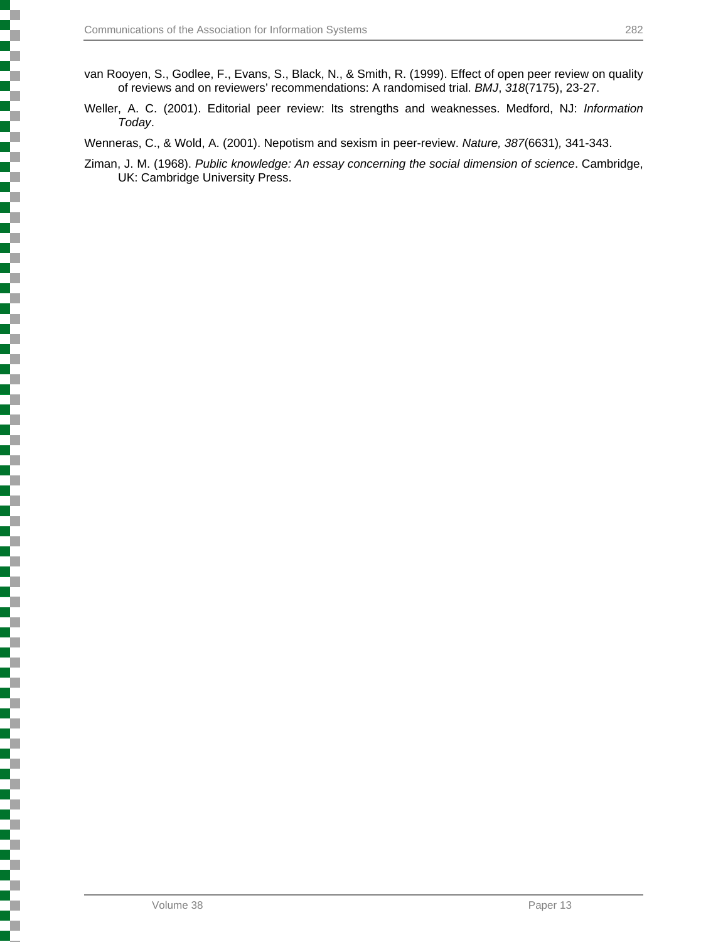į

Ş J

۳

į

₿

٦

Ş

Ì

5

į

Ę

į

i<br>I

Weller, A. C. (2001). Editorial peer review: Its strengths and weaknesses. Medford, NJ: *Information Today*.

Wenneras, C., & Wold, A. (2001). Nepotism and sexism in peer-review. *Nature, 387*(6631)*,* 341-343.

Ziman, J. M. (1968). *Public knowledge: An essay concerning the social dimension of science*. Cambridge, UK: Cambridge University Press.